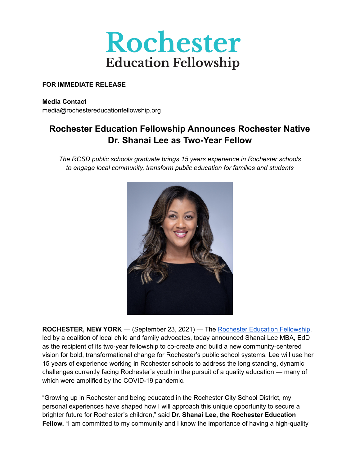

#### **FOR IMMEDIATE RELEASE**

**Media Contact** media@rochestereducationfellowship.org

# **Rochester Education Fellowship Announces Rochester Native Dr. Shanai Lee as Two-Year Fellow**

*The RCSD public schools graduate brings 15 years experience in Rochester schools to engage local community, transform public education for families and students*



**ROCHESTER, NEW YORK** — (September 23, 2021) — The Rochester Education [Fellowship,](https://rochestereducationfellowship.org/) led by a coalition of local child and family advocates, today announced Shanai Lee MBA, EdD as the recipient of its two-year fellowship to co-create and build a new community-centered vision for bold, transformational change for Rochester's public school systems. Lee will use her 15 years of experience working in Rochester schools to address the long standing, dynamic challenges currently facing Rochester's youth in the pursuit of a quality education — many of which were amplified by the COVID-19 pandemic.

"Growing up in Rochester and being educated in the Rochester City School District, my personal experiences have shaped how I will approach this unique opportunity to secure a brighter future for Rochester's children," said **Dr. Shanai Lee, the Rochester Education Fellow.** "I am committed to my community and I know the importance of having a high-quality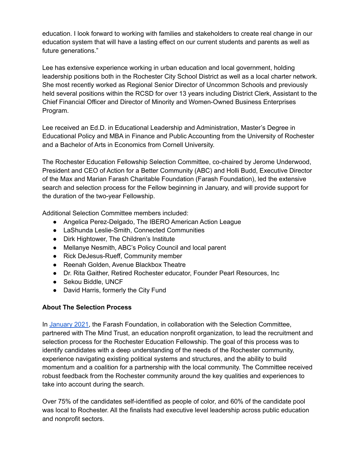education. I look forward to working with families and stakeholders to create real change in our education system that will have a lasting effect on our current students and parents as well as future generations."

Lee has extensive experience working in urban education and local government, holding leadership positions both in the Rochester City School District as well as a local charter network. She most recently worked as Regional Senior Director of Uncommon Schools and previously held several positions within the RCSD for over 13 years including District Clerk, Assistant to the Chief Financial Officer and Director of Minority and Women-Owned Business Enterprises Program.

Lee received an Ed.D. in Educational Leadership and Administration, Master's Degree in Educational Policy and MBA in Finance and Public Accounting from the University of Rochester and a Bachelor of Arts in Economics from Cornell University.

The Rochester Education Fellowship Selection Committee, co-chaired by Jerome Underwood, President and CEO of Action for a Better Community (ABC) and Holli Budd, Executive Director of the Max and Marian Farash Charitable Foundation (Farash Foundation), led the extensive search and selection process for the Fellow beginning in January, and will provide support for the duration of the two-year Fellowship.

Additional Selection Committee members included:

- Angelica Perez-Delgado, The IBERO American Action League
- LaShunda Leslie-Smith, Connected Communities
- Dirk Hightower, The Children's Institute
- Mellanye Nesmith, ABC's Policy Council and local parent
- Rick DeJesus-Rueff, Community member
- Reenah Golden, Avenue Blackbox Theatre
- Dr. Rita Gaither, Retired Rochester educator, Founder Pearl Resources, Inc
- Sekou Biddle, UNCF
- David Harris, formerly the City Fund

## **About The Selection Process**

In [January](https://rbj.net/welcome-ad/?retUrl=/2021/01/14/a-new-opportunity-for-rochesters-students/) 2021, the Farash Foundation, in collaboration with the Selection Committee, partnered with The Mind Trust, an education nonprofit organization, to lead the recruitment and selection process for the Rochester Education Fellowship. The goal of this process was to identify candidates with a deep understanding of the needs of the Rochester community, experience navigating existing political systems and structures, and the ability to build momentum and a coalition for a partnership with the local community. The Committee received robust feedback from the Rochester community around the key qualities and experiences to take into account during the search.

Over 75% of the candidates self-identified as people of color, and 60% of the candidate pool was local to Rochester. All the finalists had executive level leadership across public education and nonprofit sectors.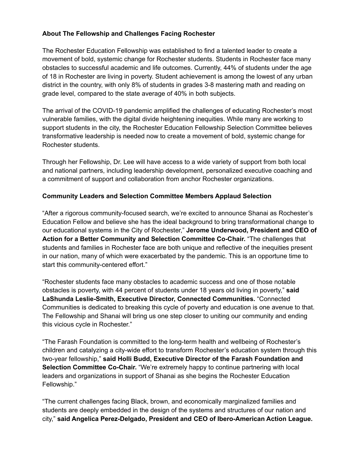## **About The Fellowship and Challenges Facing Rochester**

The Rochester Education Fellowship was established to find a talented leader to create a movement of bold, systemic change for Rochester students. Students in Rochester face many obstacles to successful academic and life outcomes. Currently, 44% of students under the age of 18 in Rochester are living in poverty. Student achievement is among the lowest of any urban district in the country, with only 8% of students in grades 3-8 mastering math and reading on grade level, compared to the state average of 40% in both subjects.

The arrival of the COVID-19 pandemic amplified the challenges of educating Rochester's most vulnerable families, with the digital divide heightening inequities. While many are working to support students in the city, the Rochester Education Fellowship Selection Committee believes transformative leadership is needed now to create a movement of bold, systemic change for Rochester students.

Through her Fellowship, Dr. Lee will have access to a wide variety of support from both local and national partners, including leadership development, personalized executive coaching and a commitment of support and collaboration from anchor Rochester organizations.

#### **Community Leaders and Selection Committee Members Applaud Selection**

"After a rigorous community-focused search, we're excited to announce Shanai as Rochester's Education Fellow and believe she has the ideal background to bring transformational change to our educational systems in the City of Rochester," **Jerome Underwood, President and CEO of Action for a Better Community and Selection Committee Co-Chair.** "The challenges that students and families in Rochester face are both unique and reflective of the inequities present in our nation, many of which were exacerbated by the pandemic. This is an opportune time to start this community-centered effort."

"Rochester students face many obstacles to academic success and one of those notable obstacles is poverty, with 44 percent of students under 18 years old living in poverty," **said LaShunda Leslie-Smith, Executive Director, Connected Communities.** "Connected Communities is dedicated to breaking this cycle of poverty and education is one avenue to that. The Fellowship and Shanai will bring us one step closer to uniting our community and ending this vicious cycle in Rochester."

"The Farash Foundation is committed to the long-term health and wellbeing of Rochester's children and catalyzing a city-wide effort to transform Rochester's education system through this two-year fellowship," **said Holli Budd, Executive Director of the Farash Foundation and Selection Committee Co-Chair.** "We're extremely happy to continue partnering with local leaders and organizations in support of Shanai as she begins the Rochester Education Fellowship."

"The current challenges facing Black, brown, and economically marginalized families and students are deeply embedded in the design of the systems and structures of our nation and city," **said Angelica Perez-Delgado, President and CEO of Ibero-American Action League.**